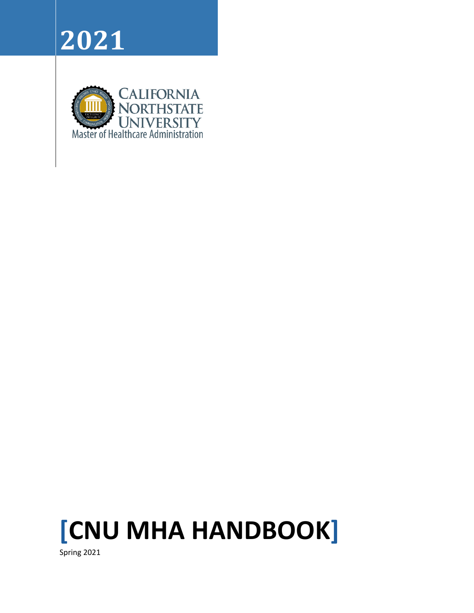





Spring 2021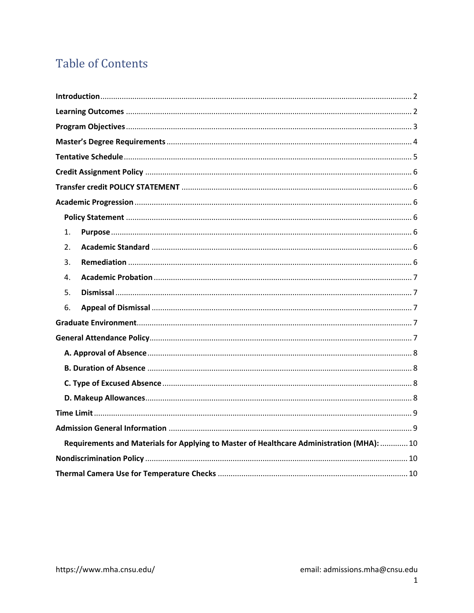# **Table of Contents**

| 1.                                                                                        |
|-------------------------------------------------------------------------------------------|
| 2.                                                                                        |
| 3.                                                                                        |
| 4.                                                                                        |
| 5.                                                                                        |
| 6.                                                                                        |
|                                                                                           |
|                                                                                           |
|                                                                                           |
|                                                                                           |
|                                                                                           |
|                                                                                           |
|                                                                                           |
|                                                                                           |
| Requirements and Materials for Applying to Master of Healthcare Administration (MHA):  10 |
|                                                                                           |
|                                                                                           |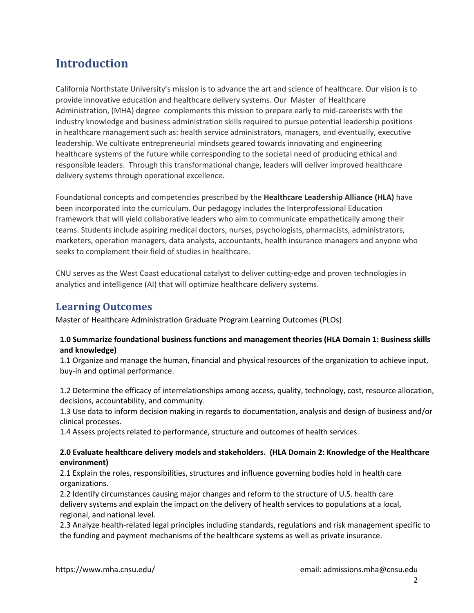# <span id="page-2-0"></span>**Introduction**

California Northstate University's mission is to advance the art and science of healthcare. Our vision is to provide innovative education and healthcare delivery systems. Our Master of Healthcare Administration, (MHA) degree complements this mission to prepare early to mid-careerists with the industry knowledge and business administration skills required to pursue potential leadership positions in healthcare management such as: health service administrators, managers, and eventually, executive leadership. We cultivate entrepreneurial mindsets geared towards innovating and engineering healthcare systems of the future while corresponding to the societal need of producing ethical and responsible leaders. Through this transformational change, leaders will deliver improved healthcare delivery systems through operational excellence.

Foundational concepts and competencies prescribed by the **Healthcare Leadership Alliance (HLA)** have been incorporated into the curriculum. Our pedagogy includes the Interprofessional Education framework that will yield collaborative leaders who aim to communicate empathetically among their teams. Students include aspiring medical doctors, nurses, psychologists, pharmacists, administrators, marketers, operation managers, data analysts, accountants, health insurance managers and anyone who seeks to complement their field of studies in healthcare.

CNU serves as the West Coast educational catalyst to deliver cutting-edge and proven technologies in analytics and intelligence (AI) that will optimize healthcare delivery systems.

### <span id="page-2-1"></span>**Learning Outcomes**

Master of Healthcare Administration Graduate Program Learning Outcomes (PLOs)

#### **1.0 Summarize foundational business functions and management theories (HLA Domain 1: Business skills and knowledge)**

1.1 Organize and manage the human, financial and physical resources of the organization to achieve input, buy-in and optimal performance.

1.2 Determine the efficacy of interrelationships among access, quality, technology, cost, resource allocation, decisions, accountability, and community.

1.3 Use data to inform decision making in regards to documentation, analysis and design of business and/or clinical processes.

1.4 Assess projects related to performance, structure and outcomes of health services.

#### **2.0 Evaluate healthcare delivery models and stakeholders. (HLA Domain 2: Knowledge of the Healthcare environment)**

2.1 Explain the roles, responsibilities, structures and influence governing bodies hold in health care organizations.

2.2 Identify circumstances causing major changes and reform to the structure of U.S. health care delivery systems and explain the impact on the delivery of health services to populations at a local, regional, and national level.

2.3 Analyze health-related legal principles including standards, regulations and risk management specific to the funding and payment mechanisms of the healthcare systems as well as private insurance.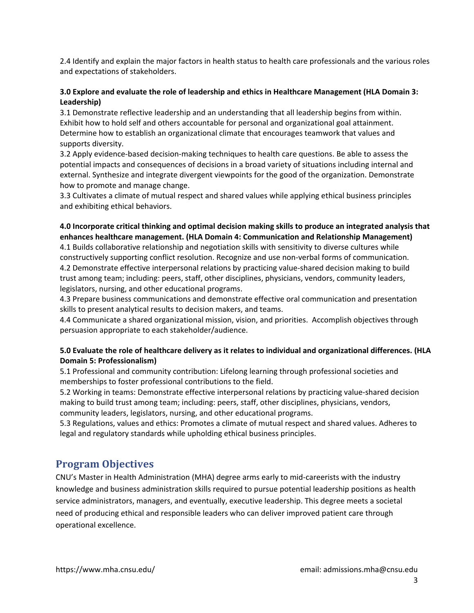2.4 Identify and explain the major factors in health status to health care professionals and the various roles and expectations of stakeholders.

#### **3.0 Explore and evaluate the role of leadership and ethics in Healthcare Management (HLA Domain 3: Leadership)**

3.1 Demonstrate reflective leadership and an understanding that all leadership begins from within. Exhibit how to hold self and others accountable for personal and organizational goal attainment. Determine how to establish an organizational climate that encourages teamwork that values and supports diversity.

3.2 Apply evidence-based decision-making techniques to health care questions. Be able to assess the potential impacts and consequences of decisions in a broad variety of situations including internal and external. Synthesize and integrate divergent viewpoints for the good of the organization. Demonstrate how to promote and manage change.

3.3 Cultivates a climate of mutual respect and shared values while applying ethical business principles and exhibiting ethical behaviors.

#### **4.0 Incorporate critical thinking and optimal decision making skills to produce an integrated analysis that enhances healthcare management. (HLA Domain 4: Communication and Relationship Management)**

4.1 Builds collaborative relationship and negotiation skills with sensitivity to diverse cultures while constructively supporting conflict resolution. Recognize and use non-verbal forms of communication. 4.2 Demonstrate effective interpersonal relations by practicing value-shared decision making to build trust among team; including: peers, staff, other disciplines, physicians, vendors, community leaders, legislators, nursing, and other educational programs.

4.3 Prepare business communications and demonstrate effective oral communication and presentation skills to present analytical results to decision makers, and teams.

4.4 Communicate a shared organizational mission, vision, and priorities. Accomplish objectives through persuasion appropriate to each stakeholder/audience.

#### **5.0 Evaluate the role of healthcare delivery as it relates to individual and organizational differences. (HLA Domain 5: Professionalism)**

5.1 Professional and community contribution: Lifelong learning through professional societies and memberships to foster professional contributions to the field.

5.2 Working in teams: Demonstrate effective interpersonal relations by practicing value-shared decision making to build trust among team; including: peers, staff, other disciplines, physicians, vendors, community leaders, legislators, nursing, and other educational programs.

5.3 Regulations, values and ethics: Promotes a climate of mutual respect and shared values. Adheres to legal and regulatory standards while upholding ethical business principles.

### <span id="page-3-0"></span>**Program Objectives**

CNU's Master in Health Administration (MHA) degree arms early to mid-careerists with the industry knowledge and business administration skills required to pursue potential leadership positions as health service administrators, managers, and eventually, executive leadership. This degree meets a societal need of producing ethical and responsible leaders who can deliver improved patient care through operational excellence.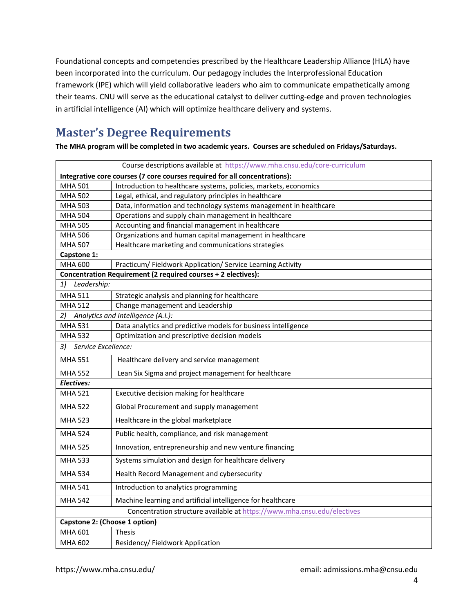Foundational concepts and competencies prescribed by the Healthcare Leadership Alliance (HLA) have been incorporated into the curriculum. Our pedagogy includes the Interprofessional Education framework (IPE) which will yield collaborative leaders who aim to communicate empathetically among their teams. CNU will serve as the educational catalyst to deliver cutting-edge and proven technologies in artificial intelligence (AI) which will optimize healthcare delivery and systems.

# <span id="page-4-0"></span>**Master's Degree Requirements**

**The MHA program will be completed in two academic years. Courses are scheduled on Fridays/Saturdays.** 

| Course descriptions available at https://www.mha.cnsu.edu/core-curriculum  |
|----------------------------------------------------------------------------|
| Integrative core courses (7 core courses required for all concentrations): |
| Introduction to healthcare systems, policies, markets, economics           |
| Legal, ethical, and regulatory principles in healthcare                    |
| Data, information and technology systems management in healthcare          |
| Operations and supply chain management in healthcare                       |
| Accounting and financial management in healthcare                          |
| Organizations and human capital management in healthcare                   |
| Healthcare marketing and communications strategies                         |
|                                                                            |
| Practicum/ Fieldwork Application/ Service Learning Activity                |
| Concentration Requirement (2 required courses + 2 electives):              |
|                                                                            |
| Strategic analysis and planning for healthcare                             |
| Change management and Leadership                                           |
| Analytics and Intelligence (A.I.):                                         |
| Data analytics and predictive models for business intelligence             |
| Optimization and prescriptive decision models                              |
| Service Excellence:                                                        |
| Healthcare delivery and service management                                 |
| Lean Six Sigma and project management for healthcare                       |
|                                                                            |
| Executive decision making for healthcare                                   |
| Global Procurement and supply management                                   |
| Healthcare in the global marketplace                                       |
| Public health, compliance, and risk management                             |
| Innovation, entrepreneurship and new venture financing                     |
| Systems simulation and design for healthcare delivery                      |
| Health Record Management and cybersecurity                                 |
| Introduction to analytics programming                                      |
| Machine learning and artificial intelligence for healthcare                |
| Concentration structure available at https://www.mha.cnsu.edu/electives    |
| Capstone 2: (Choose 1 option)                                              |
| <b>Thesis</b>                                                              |
| Residency/Fieldwork Application                                            |
|                                                                            |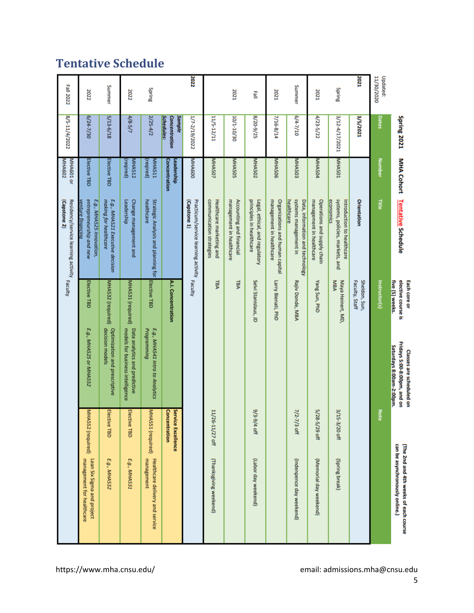# <span id="page-5-0"></span>**Tentative Schedule**

|                        | Spring 2021                                  |                            | <b>MHA Cohort</b> Tentative Schedule                                       | five (5) weeks.<br>elective course is<br>Each core or | Fridays 5:00-8:00pm, and on<br>Saturdays 8:00am-2:00pm.<br>Classes are scheduled on |                                     | can be asynchronously online.)<br>(The 2nd and 4th weeks of each course |
|------------------------|----------------------------------------------|----------------------------|----------------------------------------------------------------------------|-------------------------------------------------------|-------------------------------------------------------------------------------------|-------------------------------------|-------------------------------------------------------------------------|
| 11/30/2020<br>Updated: | Dates                                        | <b>Number</b>              | Title                                                                      | Instructor(s)                                         |                                                                                     | <b>Note</b>                         |                                                                         |
| 2021                   | 3/5/2021                                     |                            | Orientation                                                                | Sheldon, Sun,<br>Faculty, Staff                       |                                                                                     |                                     |                                                                         |
| Spring                 | 3/12-4/17/2021                               | <b>MHAS01</b>              | systems, policies, markets, and<br>economics<br>Introduction to healthcare | MBA<br>Maya Heinert, MD                               |                                                                                     | 3/15-3/20 off                       | (Spring break)                                                          |
| 2021                   | 4/23-5/22                                    | MHA504                     | management in healthcare<br>Operations and supply chain                    | Yang Sun, PhD                                         |                                                                                     | 5/28-5/29 off                       | (Memorial day weekend)                                                  |
| Summer                 | $6/4 - 7/10$                                 | <b>MHA503</b>              | systems management in<br>healthcare<br>Data, information and technology    | Rajiv Donde, MBA                                      |                                                                                     | 7/2-7<br>7/3 off                    | (Indenpence day weekend)                                                |
| 2021                   | 7/16-8/14                                    | <b>MHA506</b>              | management in healthcare<br>Organizations and human capital                | Larry Bienati, PhD                                    |                                                                                     |                                     |                                                                         |
| 릴                      | 8/20-9/25                                    | <b>MHA502</b>              | principles in healthcare<br>Legal, ethical, and regulatory                 | Selvi Stanislaus, JD                                  |                                                                                     | 9/3-9/4 off                         | (Labor day weekend)                                                     |
| 2021                   | 10/1-10/30                                   | <b>NHA505</b>              | management in healthcare<br>Accounting and financial                       | <b>TBA</b>                                            |                                                                                     |                                     |                                                                         |
|                        | 11/5-12/11                                   | <b>VIHA507</b>             | communication strategies<br>Healthcare marketing and                       | FВA                                                   |                                                                                     | 11/26-11/27 off                     | (Thanksgiving weekend)                                                  |
| 2022                   | 1/7-2/19/2022                                | MHA600                     | Practicum/service learning activity<br>(Capstone 1)                        | Faculty                                               |                                                                                     |                                     |                                                                         |
|                        | <b>Schedules:</b><br>Sample<br>Concentration | Concentration<br>eadership |                                                                            | A.I. Concentration                                    |                                                                                     | Service Excellence<br>Concentration |                                                                         |
| Spring                 | $2/25-4/2$                                   | MHA511<br>reqired)         | healthcare<br>Strategic Analysis and planning for                          | Elective TBD                                          | E.g., MHA541 Intro to Analytics<br>Programming                                      | MHASS1 (required)                   | management<br>Healthcare delivery and service                           |
| 2022                   | 4/8.5/7                                      | (reqired)<br><b>AHAS12</b> | Leadership<br>Change management and                                        | MHA531 (required)                                     | models for business intelligence<br>Data analytics and predictive                   | Elective TBD                        | E.g., MHA531                                                            |
| Summer                 | 5/13-6/18                                    | Elective TBD               | E.g., MHA521 Executive decision<br>making for healthcare                   | MHA532 (required)                                     | Optimization and prescriptive<br>decision models                                    | Elective TBD                        | E.g., MHA532                                                            |
| 2022                   | 6/24-7/30                                    | Elective TBD               | entrepreneurship and new<br>E.g., MHA525 Innovation,<br>venture financina  | Elective TBD                                          | E.g., MHA525 or MHA552                                                              | MHA552 (required)                   | Lean Six Sigma and project<br>management for healthcare                 |
| <b>Fall 2022</b>       | 8/5-11/4/2022                                | MHA601 or<br>MHA602        | Residency/service learning activity Faculty<br>(Capstone 2)                |                                                       |                                                                                     |                                     |                                                                         |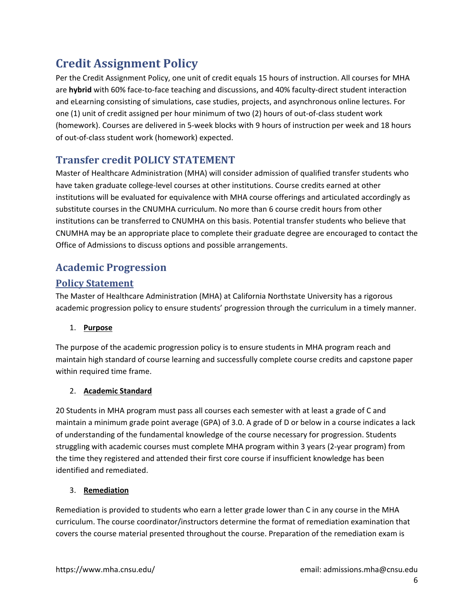# <span id="page-6-0"></span>**Credit Assignment Policy**

Per the Credit Assignment Policy, one unit of credit equals 15 hours of instruction. All courses for MHA are **hybrid** with 60% face-to-face teaching and discussions, and 40% faculty-direct student interaction and eLearning consisting of simulations, case studies, projects, and asynchronous online lectures. For one (1) unit of credit assigned per hour minimum of two (2) hours of out-of-class student work (homework). Courses are delivered in 5-week blocks with 9 hours of instruction per week and 18 hours of out-of-class student work (homework) expected.

## <span id="page-6-1"></span>**Transfer credit POLICY STATEMENT**

Master of Healthcare Administration (MHA) will consider admission of qualified transfer students who have taken graduate college-level courses at other institutions. Course credits earned at other institutions will be evaluated for equivalence with MHA course offerings and articulated accordingly as substitute courses in the CNUMHA curriculum. No more than 6 course credit hours from other institutions can be transferred to CNUMHA on this basis. Potential transfer students who believe that CNUMHA may be an appropriate place to complete their graduate degree are encouraged to contact the Office of Admissions to discuss options and possible arrangements.

## <span id="page-6-2"></span>**Academic Progression**

### <span id="page-6-3"></span>**Policy Statement**

The Master of Healthcare Administration (MHA) at California Northstate University has a rigorous academic progression policy to ensure students' progression through the curriculum in a timely manner.

#### <span id="page-6-4"></span>1. **Purpose**

The purpose of the academic progression policy is to ensure students in MHA program reach and maintain high standard of course learning and successfully complete course credits and capstone paper within required time frame.

#### <span id="page-6-5"></span>2. **Academic Standard**

20 Students in MHA program must pass all courses each semester with at least a grade of C and maintain a minimum grade point average (GPA) of 3.0. A grade of D or below in a course indicates a lack of understanding of the fundamental knowledge of the course necessary for progression. Students struggling with academic courses must complete MHA program within 3 years (2-year program) from the time they registered and attended their first core course if insufficient knowledge has been identified and remediated.

#### <span id="page-6-6"></span>3. **Remediation**

Remediation is provided to students who earn a letter grade lower than C in any course in the MHA curriculum. The course coordinator/instructors determine the format of remediation examination that covers the course material presented throughout the course. Preparation of the remediation exam is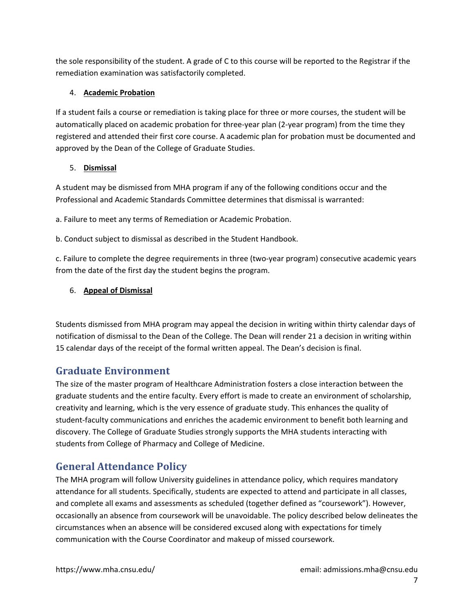the sole responsibility of the student. A grade of C to this course will be reported to the Registrar if the remediation examination was satisfactorily completed.

#### <span id="page-7-0"></span>4. **Academic Probation**

If a student fails a course or remediation is taking place for three or more courses, the student will be automatically placed on academic probation for three-year plan (2-year program) from the time they registered and attended their first core course. A academic plan for probation must be documented and approved by the Dean of the College of Graduate Studies.

#### <span id="page-7-1"></span>5. **Dismissal**

A student may be dismissed from MHA program if any of the following conditions occur and the Professional and Academic Standards Committee determines that dismissal is warranted:

a. Failure to meet any terms of Remediation or Academic Probation.

b. Conduct subject to dismissal as described in the Student Handbook.

c. Failure to complete the degree requirements in three (two-year program) consecutive academic years from the date of the first day the student begins the program.

#### <span id="page-7-2"></span>6. **Appeal of Dismissal**

Students dismissed from MHA program may appeal the decision in writing within thirty calendar days of notification of dismissal to the Dean of the College. The Dean will render 21 a decision in writing within 15 calendar days of the receipt of the formal written appeal. The Dean's decision is final.

### <span id="page-7-3"></span>**Graduate Environment**

The size of the master program of Healthcare Administration fosters a close interaction between the graduate students and the entire faculty. Every effort is made to create an environment of scholarship, creativity and learning, which is the very essence of graduate study. This enhances the quality of student-faculty communications and enriches the academic environment to benefit both learning and discovery. The College of Graduate Studies strongly supports the MHA students interacting with students from College of Pharmacy and College of Medicine.

### <span id="page-7-4"></span>**General Attendance Policy**

The MHA program will follow University guidelines in attendance policy, which requires mandatory attendance for all students. Specifically, students are expected to attend and participate in all classes, and complete all exams and assessments as scheduled (together defined as "coursework"). However, occasionally an absence from coursework will be unavoidable. The policy described below delineates the circumstances when an absence will be considered excused along with expectations for timely communication with the Course Coordinator and makeup of missed coursework.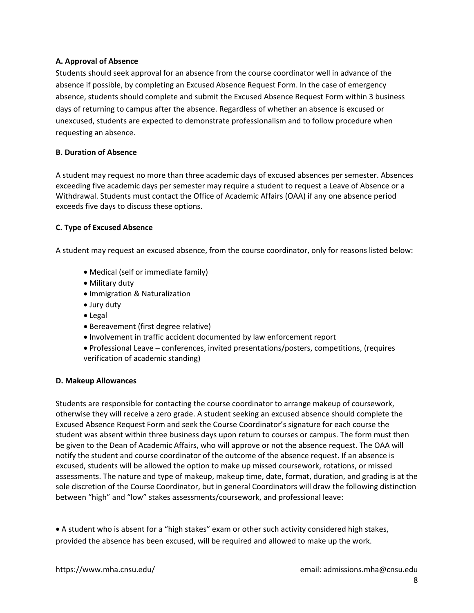#### <span id="page-8-0"></span>**A. Approval of Absence**

Students should seek approval for an absence from the course coordinator well in advance of the absence if possible, by completing an Excused Absence Request Form. In the case of emergency absence, students should complete and submit the Excused Absence Request Form within 3 business days of returning to campus after the absence. Regardless of whether an absence is excused or unexcused, students are expected to demonstrate professionalism and to follow procedure when requesting an absence.

#### <span id="page-8-1"></span>**B. Duration of Absence**

A student may request no more than three academic days of excused absences per semester. Absences exceeding five academic days per semester may require a student to request a Leave of Absence or a Withdrawal. Students must contact the Office of Academic Affairs (OAA) if any one absence period exceeds five days to discuss these options.

#### <span id="page-8-2"></span>**C. Type of Excused Absence**

A student may request an excused absence, from the course coordinator, only for reasons listed below:

- Medical (self or immediate family)
- Military duty
- Immigration & Naturalization
- Jury duty
- Legal
- Bereavement (first degree relative)
- Involvement in traffic accident documented by law enforcement report
- Professional Leave conferences, invited presentations/posters, competitions, (requires verification of academic standing)

#### <span id="page-8-3"></span>**D. Makeup Allowances**

Students are responsible for contacting the course coordinator to arrange makeup of coursework, otherwise they will receive a zero grade. A student seeking an excused absence should complete the Excused Absence Request Form and seek the Course Coordinator's signature for each course the student was absent within three business days upon return to courses or campus. The form must then be given to the Dean of Academic Affairs, who will approve or not the absence request. The OAA will notify the student and course coordinator of the outcome of the absence request. If an absence is excused, students will be allowed the option to make up missed coursework, rotations, or missed assessments. The nature and type of makeup, makeup time, date, format, duration, and grading is at the sole discretion of the Course Coordinator, but in general Coordinators will draw the following distinction between "high" and "low" stakes assessments/coursework, and professional leave:

• A student who is absent for a "high stakes" exam or other such activity considered high stakes, provided the absence has been excused, will be required and allowed to make up the work.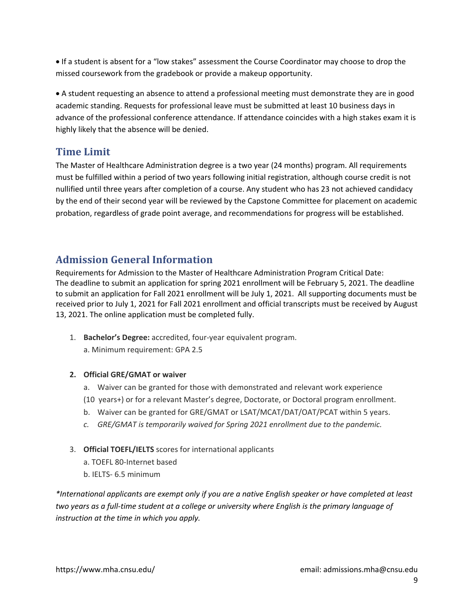• If a student is absent for a "low stakes" assessment the Course Coordinator may choose to drop the missed coursework from the gradebook or provide a makeup opportunity.

• A student requesting an absence to attend a professional meeting must demonstrate they are in good academic standing. Requests for professional leave must be submitted at least 10 business days in advance of the professional conference attendance. If attendance coincides with a high stakes exam it is highly likely that the absence will be denied.

### <span id="page-9-0"></span>**Time Limit**

The Master of Healthcare Administration degree is a two year (24 months) program. All requirements must be fulfilled within a period of two years following initial registration, although course credit is not nullified until three years after completion of a course. Any student who has 23 not achieved candidacy by the end of their second year will be reviewed by the Capstone Committee for placement on academic probation, regardless of grade point average, and recommendations for progress will be established.

## <span id="page-9-1"></span>**Admission General Information**

Requirements for Admission to the Master of Healthcare Administration Program Critical Date: The deadline to submit an application for spring 2021 enrollment will be February 5, 2021. The deadline to submit an application for Fall 2021 enrollment will be July 1, 2021. All supporting documents must be received prior to July 1, 2021 for Fall 2021 enrollment and official transcripts must be received by August 13, 2021. The online application must be completed fully.

- 1. **Bachelor's Degree:** accredited, four-year equivalent program.
	- a. Minimum requirement: GPA 2.5
- **2. Official GRE/GMAT or waiver**
	- a. Waiver can be granted for those with demonstrated and relevant work experience
	- (10 years+) or for a relevant Master's degree, Doctorate, or Doctoral program enrollment.
	- b. Waiver can be granted for GRE/GMAT or LSAT/MCAT/DAT/OAT/PCAT within 5 years.
	- *c. GRE/GMAT is temporarily waived for Spring 2021 enrollment due to the pandemic.*
- 3. **Official TOEFL/IELTS** scores for international applicants
	- a. TOEFL 80-Internet based
	- b. IELTS- 6.5 minimum

*\*International applicants are exempt only if you are a native English speaker or have completed at least two years as a full-time student at a college or university where English is the primary language of instruction at the time in which you apply.*